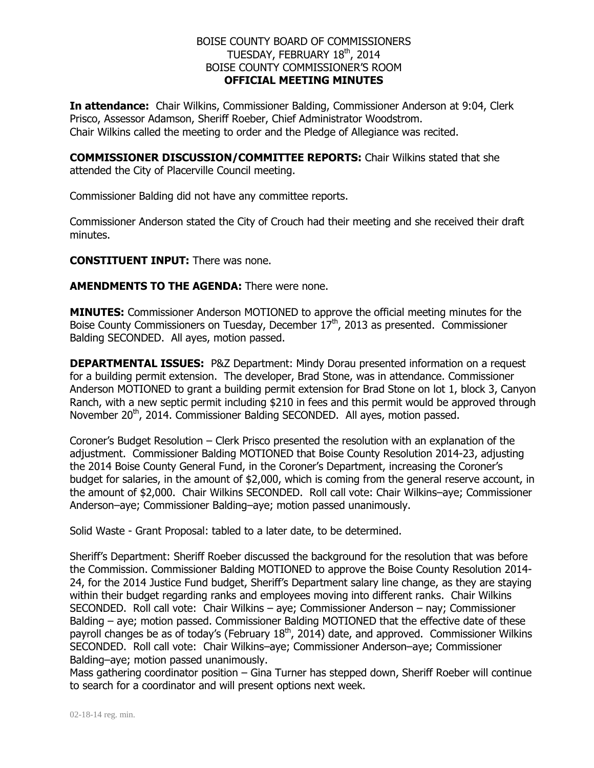## BOISE COUNTY BOARD OF COMMISSIONERS TUESDAY, FEBRUARY 18<sup>th</sup>, 2014 BOISE COUNTY COMMISSIONER'S ROOM **OFFICIAL MEETING MINUTES**

**In attendance:** Chair Wilkins, Commissioner Balding, Commissioner Anderson at 9:04, Clerk Prisco, Assessor Adamson, Sheriff Roeber, Chief Administrator Woodstrom. Chair Wilkins called the meeting to order and the Pledge of Allegiance was recited.

**COMMISSIONER DISCUSSION/COMMITTEE REPORTS:** Chair Wilkins stated that she attended the City of Placerville Council meeting.

Commissioner Balding did not have any committee reports.

Commissioner Anderson stated the City of Crouch had their meeting and she received their draft minutes.

**CONSTITUENT INPUT:** There was none.

**AMENDMENTS TO THE AGENDA:** There were none.

**MINUTES:** Commissioner Anderson MOTIONED to approve the official meeting minutes for the Boise County Commissioners on Tuesday, December  $17<sup>th</sup>$ , 2013 as presented. Commissioner Balding SECONDED. All ayes, motion passed.

**DEPARTMENTAL ISSUES:** P&Z Department: Mindy Dorau presented information on a request for a building permit extension. The developer, Brad Stone, was in attendance. Commissioner Anderson MOTIONED to grant a building permit extension for Brad Stone on lot 1, block 3, Canyon Ranch, with a new septic permit including \$210 in fees and this permit would be approved through November 20<sup>th</sup>, 2014. Commissioner Balding SECONDED. All ayes, motion passed.

Coroner's Budget Resolution – Clerk Prisco presented the resolution with an explanation of the adjustment. Commissioner Balding MOTIONED that Boise County Resolution 2014-23, adjusting the 2014 Boise County General Fund, in the Coroner's Department, increasing the Coroner's budget for salaries, in the amount of \$2,000, which is coming from the general reserve account, in the amount of \$2,000. Chair Wilkins SECONDED. Roll call vote: Chair Wilkins–aye; Commissioner Anderson–aye; Commissioner Balding–aye; motion passed unanimously.

Solid Waste - Grant Proposal: tabled to a later date, to be determined.

Sheriff's Department: Sheriff Roeber discussed the background for the resolution that was before the Commission. Commissioner Balding MOTIONED to approve the Boise County Resolution 2014- 24, for the 2014 Justice Fund budget, Sheriff's Department salary line change, as they are staying within their budget regarding ranks and employees moving into different ranks. Chair Wilkins SECONDED. Roll call vote: Chair Wilkins – aye; Commissioner Anderson – nay; Commissioner Balding – aye; motion passed. Commissioner Balding MOTIONED that the effective date of these payroll changes be as of today's (February 18<sup>th</sup>, 2014) date, and approved. Commissioner Wilkins SECONDED. Roll call vote: Chair Wilkins–aye; Commissioner Anderson–aye; Commissioner Balding–aye; motion passed unanimously.

Mass gathering coordinator position – Gina Turner has stepped down, Sheriff Roeber will continue to search for a coordinator and will present options next week.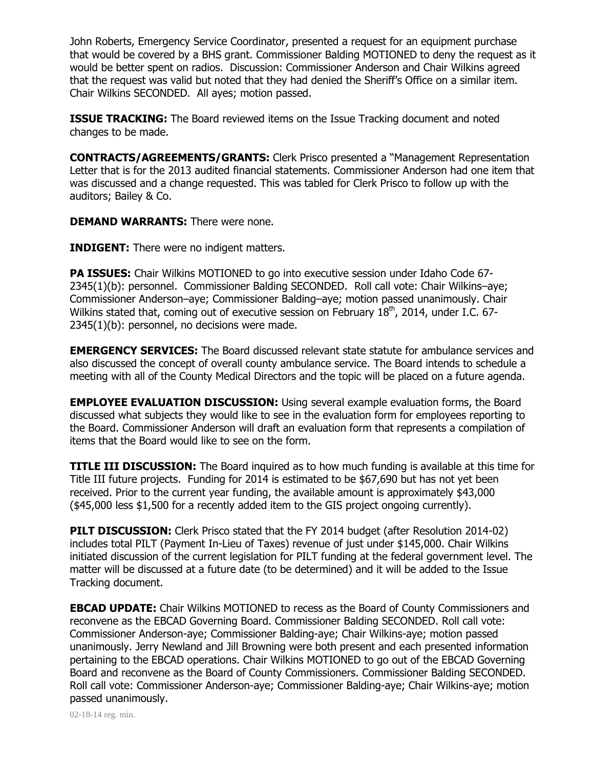John Roberts, Emergency Service Coordinator, presented a request for an equipment purchase that would be covered by a BHS grant. Commissioner Balding MOTIONED to deny the request as it would be better spent on radios. Discussion: Commissioner Anderson and Chair Wilkins agreed that the request was valid but noted that they had denied the Sheriff's Office on a similar item. Chair Wilkins SECONDED. All ayes; motion passed.

**ISSUE TRACKING:** The Board reviewed items on the Issue Tracking document and noted changes to be made.

**CONTRACTS/AGREEMENTS/GRANTS:** Clerk Prisco presented a "Management Representation Letter that is for the 2013 audited financial statements. Commissioner Anderson had one item that was discussed and a change requested. This was tabled for Clerk Prisco to follow up with the auditors; Bailey & Co.

**DEMAND WARRANTS:** There were none.

**INDIGENT:** There were no indigent matters.

**PA ISSUES:** Chair Wilkins MOTIONED to go into executive session under Idaho Code 67- 2345(1)(b): personnel. Commissioner Balding SECONDED. Roll call vote: Chair Wilkins–aye; Commissioner Anderson–aye; Commissioner Balding–aye; motion passed unanimously. Chair Wilkins stated that, coming out of executive session on February 18<sup>th</sup>, 2014, under I.C. 67-2345(1)(b): personnel, no decisions were made.

**EMERGENCY SERVICES:** The Board discussed relevant state statute for ambulance services and also discussed the concept of overall county ambulance service. The Board intends to schedule a meeting with all of the County Medical Directors and the topic will be placed on a future agenda.

**EMPLOYEE EVALUATION DISCUSSION:** Using several example evaluation forms, the Board discussed what subjects they would like to see in the evaluation form for employees reporting to the Board. Commissioner Anderson will draft an evaluation form that represents a compilation of items that the Board would like to see on the form.

**TITLE III DISCUSSION:** The Board inquired as to how much funding is available at this time for Title III future projects. Funding for 2014 is estimated to be \$67,690 but has not yet been received. Prior to the current year funding, the available amount is approximately \$43,000 (\$45,000 less \$1,500 for a recently added item to the GIS project ongoing currently).

**PILT DISCUSSION:** Clerk Prisco stated that the FY 2014 budget (after Resolution 2014-02) includes total PILT (Payment In-Lieu of Taxes) revenue of just under \$145,000. Chair Wilkins initiated discussion of the current legislation for PILT funding at the federal government level. The matter will be discussed at a future date (to be determined) and it will be added to the Issue Tracking document.

**EBCAD UPDATE:** Chair Wilkins MOTIONED to recess as the Board of County Commissioners and reconvene as the EBCAD Governing Board. Commissioner Balding SECONDED. Roll call vote: Commissioner Anderson-aye; Commissioner Balding-aye; Chair Wilkins-aye; motion passed unanimously. Jerry Newland and Jill Browning were both present and each presented information pertaining to the EBCAD operations. Chair Wilkins MOTIONED to go out of the EBCAD Governing Board and reconvene as the Board of County Commissioners. Commissioner Balding SECONDED. Roll call vote: Commissioner Anderson-aye; Commissioner Balding-aye; Chair Wilkins-aye; motion passed unanimously.